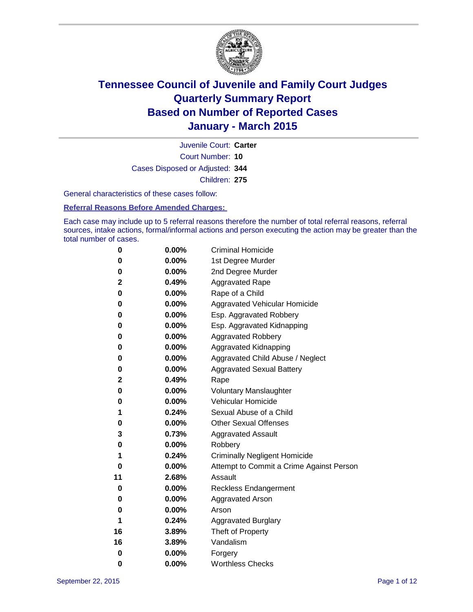

Court Number: **10** Juvenile Court: **Carter** Cases Disposed or Adjusted: **344** Children: **275**

General characteristics of these cases follow:

**Referral Reasons Before Amended Charges:** 

Each case may include up to 5 referral reasons therefore the number of total referral reasons, referral sources, intake actions, formal/informal actions and person executing the action may be greater than the total number of cases.

| 0  | $0.00\%$ | <b>Criminal Homicide</b>                 |
|----|----------|------------------------------------------|
| 0  | 0.00%    | 1st Degree Murder                        |
| 0  | 0.00%    | 2nd Degree Murder                        |
| 2  | 0.49%    | <b>Aggravated Rape</b>                   |
| 0  | $0.00\%$ | Rape of a Child                          |
| 0  | 0.00%    | Aggravated Vehicular Homicide            |
| 0  | 0.00%    | Esp. Aggravated Robbery                  |
| 0  | $0.00\%$ | Esp. Aggravated Kidnapping               |
| 0  | 0.00%    | <b>Aggravated Robbery</b>                |
| 0  | 0.00%    | <b>Aggravated Kidnapping</b>             |
| 0  | $0.00\%$ | Aggravated Child Abuse / Neglect         |
| 0  | 0.00%    | <b>Aggravated Sexual Battery</b>         |
| 2  | 0.49%    | Rape                                     |
| 0  | $0.00\%$ | <b>Voluntary Manslaughter</b>            |
| 0  | 0.00%    | <b>Vehicular Homicide</b>                |
| 1  | 0.24%    | Sexual Abuse of a Child                  |
| 0  | 0.00%    | <b>Other Sexual Offenses</b>             |
| 3  | 0.73%    | <b>Aggravated Assault</b>                |
| 0  | 0.00%    | Robbery                                  |
| 1  | 0.24%    | <b>Criminally Negligent Homicide</b>     |
| 0  | 0.00%    | Attempt to Commit a Crime Against Person |
| 11 | 2.68%    | Assault                                  |
| 0  | 0.00%    | <b>Reckless Endangerment</b>             |
| 0  | $0.00\%$ | <b>Aggravated Arson</b>                  |
| 0  | 0.00%    | Arson                                    |
| 1  | 0.24%    | <b>Aggravated Burglary</b>               |
| 16 | 3.89%    | Theft of Property                        |
| 16 | 3.89%    | Vandalism                                |
| 0  | 0.00%    | Forgery                                  |
| 0  | 0.00%    | <b>Worthless Checks</b>                  |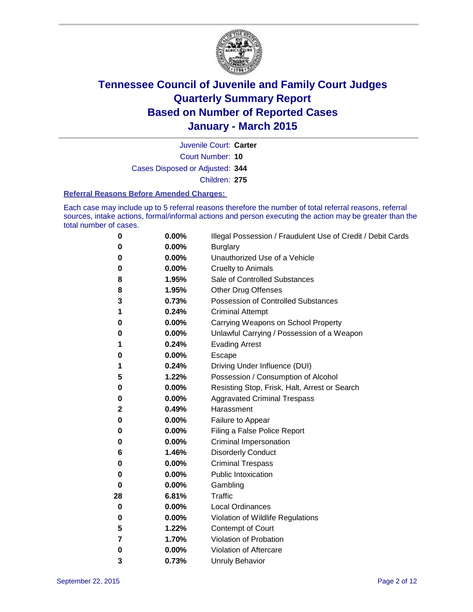

Court Number: **10** Juvenile Court: **Carter** Cases Disposed or Adjusted: **344** Children: **275**

#### **Referral Reasons Before Amended Charges:**

Each case may include up to 5 referral reasons therefore the number of total referral reasons, referral sources, intake actions, formal/informal actions and person executing the action may be greater than the total number of cases.

| 0        | 0.00% | Illegal Possession / Fraudulent Use of Credit / Debit Cards |
|----------|-------|-------------------------------------------------------------|
| 0        | 0.00% | <b>Burglary</b>                                             |
| 0        | 0.00% | Unauthorized Use of a Vehicle                               |
| 0        | 0.00% | <b>Cruelty to Animals</b>                                   |
| 8        | 1.95% | Sale of Controlled Substances                               |
| 8        | 1.95% | <b>Other Drug Offenses</b>                                  |
| 3        | 0.73% | Possession of Controlled Substances                         |
| 1        | 0.24% | <b>Criminal Attempt</b>                                     |
| 0        | 0.00% | Carrying Weapons on School Property                         |
| 0        | 0.00% | Unlawful Carrying / Possession of a Weapon                  |
| 1        | 0.24% | <b>Evading Arrest</b>                                       |
| 0        | 0.00% | Escape                                                      |
| 1        | 0.24% | Driving Under Influence (DUI)                               |
| 5        | 1.22% | Possession / Consumption of Alcohol                         |
| 0        | 0.00% | Resisting Stop, Frisk, Halt, Arrest or Search               |
| 0        | 0.00% | <b>Aggravated Criminal Trespass</b>                         |
| 2        | 0.49% | Harassment                                                  |
| 0        | 0.00% | Failure to Appear                                           |
| 0        | 0.00% | Filing a False Police Report                                |
| 0        | 0.00% | Criminal Impersonation                                      |
| 6        | 1.46% | <b>Disorderly Conduct</b>                                   |
| 0        | 0.00% | <b>Criminal Trespass</b>                                    |
| 0        | 0.00% | <b>Public Intoxication</b>                                  |
| $\bf{0}$ | 0.00% | Gambling                                                    |
| 28       | 6.81% | <b>Traffic</b>                                              |
| 0        | 0.00% | <b>Local Ordinances</b>                                     |
| 0        | 0.00% | Violation of Wildlife Regulations                           |
| 5        | 1.22% | Contempt of Court                                           |
| 7        | 1.70% | Violation of Probation                                      |
| 0        | 0.00% | Violation of Aftercare                                      |
| 3        | 0.73% | <b>Unruly Behavior</b>                                      |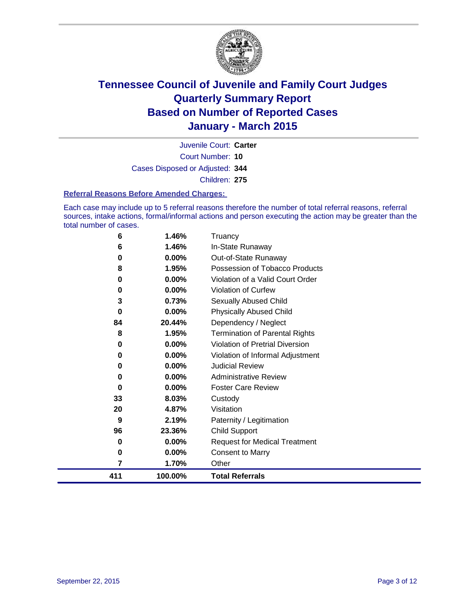

Court Number: **10** Juvenile Court: **Carter** Cases Disposed or Adjusted: **344** Children: **275**

#### **Referral Reasons Before Amended Charges:**

Each case may include up to 5 referral reasons therefore the number of total referral reasons, referral sources, intake actions, formal/informal actions and person executing the action may be greater than the total number of cases.

| 6   | 1.46%    | Truancy                               |
|-----|----------|---------------------------------------|
| 6   | 1.46%    | In-State Runaway                      |
| 0   | 0.00%    | Out-of-State Runaway                  |
| 8   | 1.95%    | Possession of Tobacco Products        |
| 0   | 0.00%    | Violation of a Valid Court Order      |
| 0   | $0.00\%$ | <b>Violation of Curfew</b>            |
| 3   | 0.73%    | <b>Sexually Abused Child</b>          |
| 0   | 0.00%    | <b>Physically Abused Child</b>        |
| 84  | 20.44%   | Dependency / Neglect                  |
| 8   | 1.95%    | <b>Termination of Parental Rights</b> |
| 0   | $0.00\%$ | Violation of Pretrial Diversion       |
| 0   | 0.00%    | Violation of Informal Adjustment      |
| 0   | 0.00%    | <b>Judicial Review</b>                |
| 0   | 0.00%    | <b>Administrative Review</b>          |
| 0   | 0.00%    | <b>Foster Care Review</b>             |
| 33  | 8.03%    | Custody                               |
| 20  | 4.87%    | Visitation                            |
| 9   | 2.19%    | Paternity / Legitimation              |
| 96  | 23.36%   | <b>Child Support</b>                  |
| 0   | 0.00%    | <b>Request for Medical Treatment</b>  |
| 0   | 0.00%    | <b>Consent to Marry</b>               |
| 7   | 1.70%    | Other                                 |
| 411 | 100.00%  | <b>Total Referrals</b>                |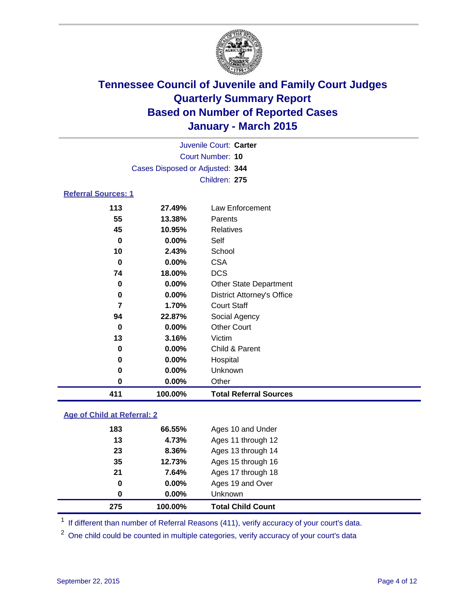

| Juvenile Court: Carter     |                                 |                               |  |  |  |
|----------------------------|---------------------------------|-------------------------------|--|--|--|
|                            | Court Number: 10                |                               |  |  |  |
|                            | Cases Disposed or Adjusted: 344 |                               |  |  |  |
|                            |                                 | Children: 275                 |  |  |  |
| <b>Referral Sources: 1</b> |                                 |                               |  |  |  |
| 113                        | 27.49%<br>Law Enforcement       |                               |  |  |  |
| 55                         | 13.38%                          | Parents                       |  |  |  |
| 45                         | 10.95%                          | Relatives                     |  |  |  |
| 0                          | $0.00\%$<br>Self                |                               |  |  |  |
| 10                         | School                          |                               |  |  |  |
| 0                          | $0.00\%$                        | <b>CSA</b>                    |  |  |  |
| 74                         | 18.00%                          | <b>DCS</b>                    |  |  |  |
| 0                          | $0.00\%$                        | <b>Other State Department</b> |  |  |  |

| 411 | 100.00%  | <b>Total Referral Sources</b>     |
|-----|----------|-----------------------------------|
| 0   | 0.00%    | Other                             |
| 0   | $0.00\%$ | Unknown                           |
| 0   | $0.00\%$ | Hospital                          |
| 0   | $0.00\%$ | Child & Parent                    |
| 13  | 3.16%    | Victim                            |
| 0   | 0.00%    | <b>Other Court</b>                |
| 94  | 22.87%   | Social Agency                     |
| 7   | 1.70%    | <b>Court Staff</b>                |
| 0   | $0.00\%$ | <b>District Attorney's Office</b> |
| 0   | $0.00\%$ | <b>Other State Department</b>     |
| 74  | 18.00%   | <b>DCS</b>                        |
| 0   | $0.00\%$ | <b>CSA</b>                        |
| 10  | 2.43%    | School                            |
| 0   | $0.00\%$ | Self                              |
| 45  | 10.95%   | <b>Relatives</b>                  |
| 55  | 13.38%   | Parents                           |
|     |          |                                   |

### **Age of Child at Referral: 2**

| 275      | 100.00% | <b>Total Child Count</b> |
|----------|---------|--------------------------|
| $\bf{0}$ | 0.00%   | <b>Unknown</b>           |
| 0        | 0.00%   | Ages 19 and Over         |
| 21       | 7.64%   | Ages 17 through 18       |
| 35       | 12.73%  | Ages 15 through 16       |
| 23       | 8.36%   | Ages 13 through 14       |
| 13       | 4.73%   | Ages 11 through 12       |
| 183      | 66.55%  | Ages 10 and Under        |

<sup>1</sup> If different than number of Referral Reasons (411), verify accuracy of your court's data.

One child could be counted in multiple categories, verify accuracy of your court's data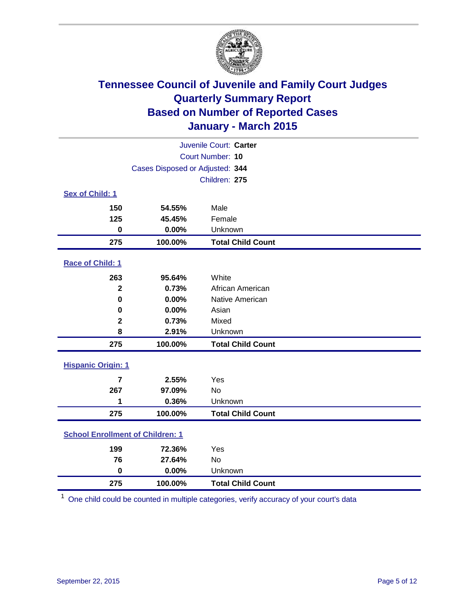

| Juvenile Court: Carter                  |                                 |                          |  |  |  |
|-----------------------------------------|---------------------------------|--------------------------|--|--|--|
| Court Number: 10                        |                                 |                          |  |  |  |
|                                         | Cases Disposed or Adjusted: 344 |                          |  |  |  |
|                                         | Children: 275                   |                          |  |  |  |
| Sex of Child: 1                         |                                 |                          |  |  |  |
| 150                                     | 54.55%                          | Male                     |  |  |  |
| 125                                     | 45.45%                          | Female                   |  |  |  |
| $\bf{0}$                                | 0.00%                           | Unknown                  |  |  |  |
| 275                                     | 100.00%                         | <b>Total Child Count</b> |  |  |  |
| Race of Child: 1                        |                                 |                          |  |  |  |
| 263                                     | 95.64%                          | White                    |  |  |  |
| $\overline{2}$                          | 0.73%                           | African American         |  |  |  |
| $\bf{0}$                                | 0.00%                           | Native American          |  |  |  |
| 0                                       | 0.00%                           | Asian                    |  |  |  |
| $\mathbf 2$                             | 0.73%                           | Mixed                    |  |  |  |
| 8                                       | 2.91%                           | Unknown                  |  |  |  |
| 275                                     | 100.00%                         | <b>Total Child Count</b> |  |  |  |
| <b>Hispanic Origin: 1</b>               |                                 |                          |  |  |  |
| $\overline{7}$                          | 2.55%                           | Yes                      |  |  |  |
| 267                                     | 97.09%                          | <b>No</b>                |  |  |  |
| 1                                       | 0.36%                           | Unknown                  |  |  |  |
| 275                                     | 100.00%                         | <b>Total Child Count</b> |  |  |  |
| <b>School Enrollment of Children: 1</b> |                                 |                          |  |  |  |
| 199                                     | 72.36%                          | Yes                      |  |  |  |
| 76                                      | 27.64%                          | No                       |  |  |  |
| $\mathbf 0$                             | 0.00%                           | Unknown                  |  |  |  |
| 275                                     | 100.00%                         | <b>Total Child Count</b> |  |  |  |

One child could be counted in multiple categories, verify accuracy of your court's data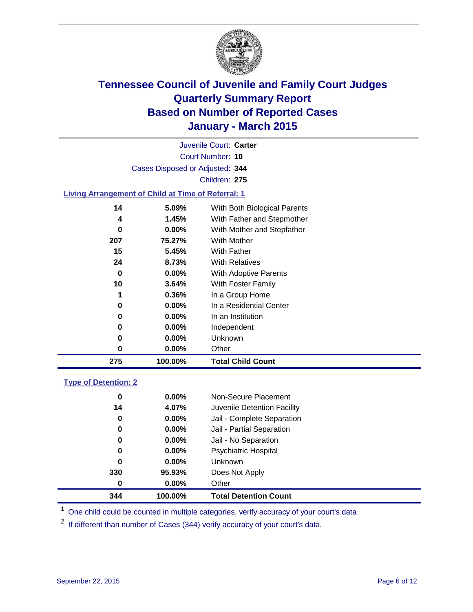

Court Number: **10** Juvenile Court: **Carter** Cases Disposed or Adjusted: **344** Children: **275**

### **Living Arrangement of Child at Time of Referral: 1**

| 0       | $0.00\%$          | In a Residential Center                                  |
|---------|-------------------|----------------------------------------------------------|
| 1       | $0.36\%$          | In a Group Home                                          |
| 0<br>10 | 0.00%<br>3.64%    | With Adoptive Parents<br>With Foster Family              |
| 24      | 8.73%             | <b>With Relatives</b>                                    |
| 15      | 5.45%             | With Father                                              |
| 207     | 75.27%            | <b>With Mother</b>                                       |
| 4<br>0  | 1.45%<br>$0.00\%$ | With Father and Stepmother<br>With Mother and Stepfather |
| 14      | 5.09%             | With Both Biological Parents                             |

### **Type of Detention: 2**

| 0        | $0.00\%$ | Non-Secure Placement         |  |
|----------|----------|------------------------------|--|
| 14       | 4.07%    | Juvenile Detention Facility  |  |
| 0        | $0.00\%$ | Jail - Complete Separation   |  |
| 0        | 0.00%    | Jail - Partial Separation    |  |
| 0        | $0.00\%$ | Jail - No Separation         |  |
| 0        | $0.00\%$ | <b>Psychiatric Hospital</b>  |  |
| 0        | $0.00\%$ | <b>Unknown</b>               |  |
| 330      | 95.93%   | Does Not Apply               |  |
| $\bf{0}$ | $0.00\%$ | Other                        |  |
| 344      | 100.00%  | <b>Total Detention Count</b> |  |

<sup>1</sup> One child could be counted in multiple categories, verify accuracy of your court's data

If different than number of Cases (344) verify accuracy of your court's data.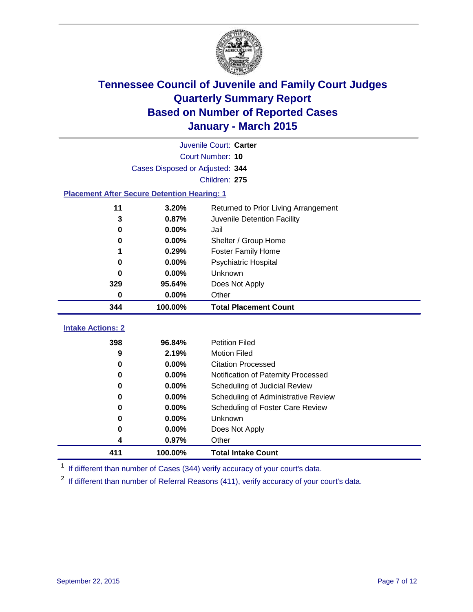

| Juvenile Court: Carter                              |                                 |                                     |  |  |  |
|-----------------------------------------------------|---------------------------------|-------------------------------------|--|--|--|
|                                                     | Court Number: 10                |                                     |  |  |  |
|                                                     | Cases Disposed or Adjusted: 344 |                                     |  |  |  |
|                                                     |                                 | Children: 275                       |  |  |  |
| <b>Placement After Secure Detention Hearing: 1</b>  |                                 |                                     |  |  |  |
| 3.20%<br>11<br>Returned to Prior Living Arrangement |                                 |                                     |  |  |  |
| 0.87%<br>Juvenile Detention Facility<br>3           |                                 |                                     |  |  |  |
| 0.00%<br>0<br>Jail                                  |                                 |                                     |  |  |  |
| 0                                                   | 0.00%                           | Shelter / Group Home                |  |  |  |
|                                                     | 0.29%                           | <b>Foster Family Home</b>           |  |  |  |
| 0                                                   | 0.00%                           | <b>Psychiatric Hospital</b>         |  |  |  |
| Unknown<br>0.00%<br>0                               |                                 |                                     |  |  |  |
| 329<br>95.64%<br>Does Not Apply                     |                                 |                                     |  |  |  |
| 0<br>0.00%<br>Other                                 |                                 |                                     |  |  |  |
| 344                                                 | 100.00%                         | <b>Total Placement Count</b>        |  |  |  |
| <b>Intake Actions: 2</b>                            |                                 |                                     |  |  |  |
| 398<br>96.84%                                       |                                 | <b>Petition Filed</b>               |  |  |  |
| 9                                                   | 2.19%                           | <b>Motion Filed</b>                 |  |  |  |
| 0                                                   | 0.00%                           | <b>Citation Processed</b>           |  |  |  |
| $\bf{0}$                                            | 0.00%                           | Notification of Paternity Processed |  |  |  |
| 0                                                   | 0.00%                           | Scheduling of Judicial Review       |  |  |  |
| 0                                                   | 0.00%                           | Scheduling of Administrative Review |  |  |  |
| 0                                                   | 0.00%                           | Scheduling of Foster Care Review    |  |  |  |
| 0                                                   | 0.00%                           | Unknown                             |  |  |  |
| 0                                                   | 0.00%                           | Does Not Apply                      |  |  |  |
| 0.97%<br>4                                          |                                 | Other                               |  |  |  |

<sup>1</sup> If different than number of Cases (344) verify accuracy of your court's data.

**100.00% Total Intake Count**

If different than number of Referral Reasons (411), verify accuracy of your court's data.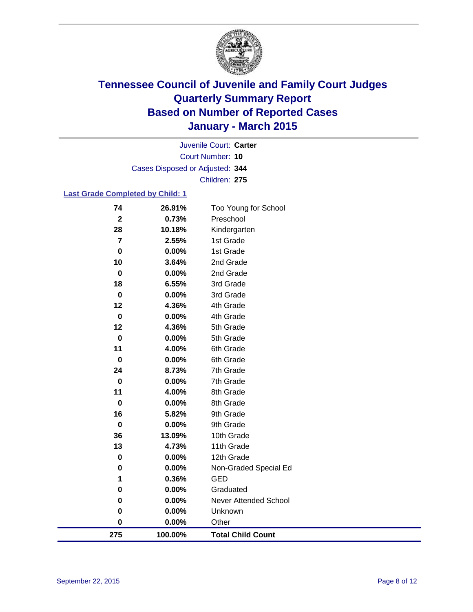

Court Number: **10** Juvenile Court: **Carter** Cases Disposed or Adjusted: **344** Children: **275**

### **Last Grade Completed by Child: 1**

| 74             | 26.91%  | Too Young for School         |
|----------------|---------|------------------------------|
| $\mathbf{2}$   | 0.73%   | Preschool                    |
| 28             | 10.18%  | Kindergarten                 |
| $\overline{7}$ | 2.55%   | 1st Grade                    |
| $\pmb{0}$      | 0.00%   | 1st Grade                    |
| 10             | 3.64%   | 2nd Grade                    |
| $\mathbf 0$    | 0.00%   | 2nd Grade                    |
| 18             | 6.55%   | 3rd Grade                    |
| $\mathbf 0$    | 0.00%   | 3rd Grade                    |
| 12             | 4.36%   | 4th Grade                    |
| $\bf{0}$       | 0.00%   | 4th Grade                    |
| 12             | 4.36%   | 5th Grade                    |
| $\mathbf 0$    | 0.00%   | 5th Grade                    |
| 11             | 4.00%   | 6th Grade                    |
| $\bf{0}$       | 0.00%   | 6th Grade                    |
| 24             | 8.73%   | 7th Grade                    |
| $\mathbf 0$    | 0.00%   | 7th Grade                    |
| 11             | 4.00%   | 8th Grade                    |
| $\mathbf 0$    | 0.00%   | 8th Grade                    |
| 16             | 5.82%   | 9th Grade                    |
| $\bf{0}$       | 0.00%   | 9th Grade                    |
| 36             | 13.09%  | 10th Grade                   |
| 13             | 4.73%   | 11th Grade                   |
| $\mathbf 0$    | 0.00%   | 12th Grade                   |
| 0              | 0.00%   | Non-Graded Special Ed        |
| 1              | 0.36%   | <b>GED</b>                   |
| 0              | 0.00%   | Graduated                    |
| $\bf{0}$       | 0.00%   | <b>Never Attended School</b> |
| 0              | 0.00%   | Unknown                      |
| 0              | 0.00%   | Other                        |
| 275            | 100.00% | <b>Total Child Count</b>     |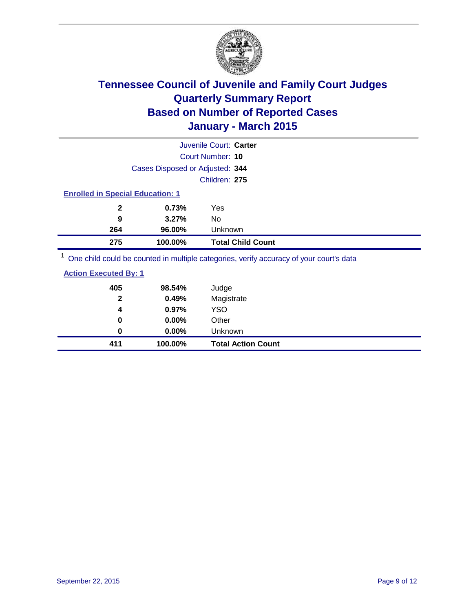

|                                                                                         | Juvenile Court: Carter   |  |  |  |
|-----------------------------------------------------------------------------------------|--------------------------|--|--|--|
|                                                                                         | Court Number: 10         |  |  |  |
| Cases Disposed or Adjusted: 344                                                         |                          |  |  |  |
|                                                                                         | Children: 275            |  |  |  |
| <b>Enrolled in Special Education: 1</b>                                                 |                          |  |  |  |
| 0.73%<br>$\mathbf{2}$                                                                   | Yes                      |  |  |  |
| 9<br>3.27%                                                                              | No                       |  |  |  |
| 264<br>96.00%                                                                           | Unknown                  |  |  |  |
| 275<br>100.00%                                                                          | <b>Total Child Count</b> |  |  |  |
| One child could be counted in multiple categories, verify accuracy of your court's data |                          |  |  |  |

| 411                          | 100.00%  | <b>Total Action Count</b> |
|------------------------------|----------|---------------------------|
| 0                            | 0.00%    | Unknown                   |
| 0                            | $0.00\%$ | Other                     |
| 4                            | 0.97%    | <b>YSO</b>                |
| $\mathbf{2}$                 | 0.49%    | Magistrate                |
| 405                          | 98.54%   | Judge                     |
| <b>Action Executed By: 1</b> |          |                           |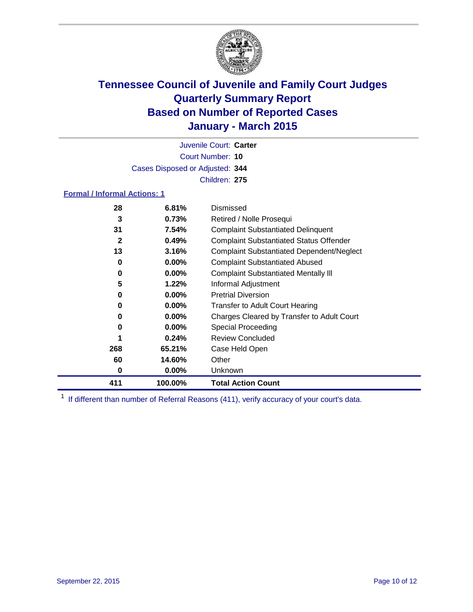

Court Number: **10** Juvenile Court: **Carter** Cases Disposed or Adjusted: **344** Children: **275**

#### **Formal / Informal Actions: 1**

| 28  | 6.81%    | Dismissed                                        |
|-----|----------|--------------------------------------------------|
| 3   | 0.73%    | Retired / Nolle Prosequi                         |
| 31  | 7.54%    | <b>Complaint Substantiated Delinquent</b>        |
| 2   | 0.49%    | <b>Complaint Substantiated Status Offender</b>   |
| 13  | 3.16%    | <b>Complaint Substantiated Dependent/Neglect</b> |
| 0   | $0.00\%$ | <b>Complaint Substantiated Abused</b>            |
| 0   | $0.00\%$ | <b>Complaint Substantiated Mentally III</b>      |
| 5   | 1.22%    | Informal Adjustment                              |
| 0   | $0.00\%$ | <b>Pretrial Diversion</b>                        |
| 0   | $0.00\%$ | Transfer to Adult Court Hearing                  |
| 0   | $0.00\%$ | Charges Cleared by Transfer to Adult Court       |
| 0   | $0.00\%$ | Special Proceeding                               |
|     | 0.24%    | <b>Review Concluded</b>                          |
| 268 | 65.21%   | Case Held Open                                   |
| 60  | 14.60%   | Other                                            |
| 0   | $0.00\%$ | <b>Unknown</b>                                   |
| 411 | 100.00%  | <b>Total Action Count</b>                        |

<sup>1</sup> If different than number of Referral Reasons (411), verify accuracy of your court's data.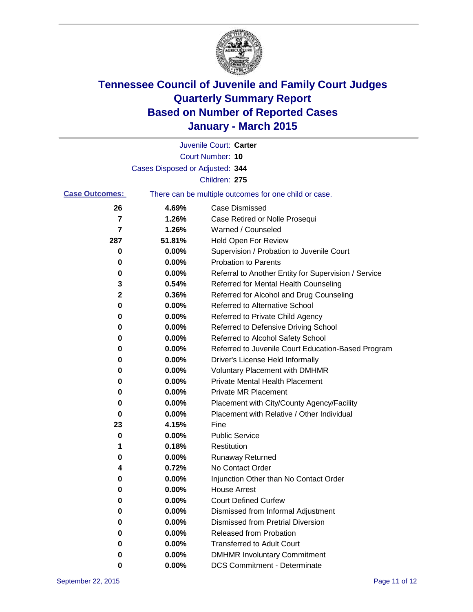

|                       |                                 | Juvenile Court: Carter                                |
|-----------------------|---------------------------------|-------------------------------------------------------|
|                       |                                 | Court Number: 10                                      |
|                       | Cases Disposed or Adjusted: 344 |                                                       |
|                       |                                 | Children: 275                                         |
| <b>Case Outcomes:</b> |                                 | There can be multiple outcomes for one child or case. |
| 26                    | 4.69%                           | <b>Case Dismissed</b>                                 |
| 7                     | 1.26%                           | Case Retired or Nolle Prosequi                        |
| 7                     | 1.26%                           | Warned / Counseled                                    |
| 287                   | 51.81%                          | <b>Held Open For Review</b>                           |
| 0                     | 0.00%                           | Supervision / Probation to Juvenile Court             |
| 0                     | 0.00%                           | <b>Probation to Parents</b>                           |
| 0                     | 0.00%                           | Referral to Another Entity for Supervision / Service  |
| 3                     | 0.54%                           | Referred for Mental Health Counseling                 |
| 2                     | 0.36%                           | Referred for Alcohol and Drug Counseling              |
| 0                     | 0.00%                           | <b>Referred to Alternative School</b>                 |
| 0                     | 0.00%                           | Referred to Private Child Agency                      |
| 0                     | 0.00%                           | Referred to Defensive Driving School                  |
| 0                     | 0.00%                           | Referred to Alcohol Safety School                     |
| 0                     | 0.00%                           | Referred to Juvenile Court Education-Based Program    |
| 0                     | 0.00%                           | Driver's License Held Informally                      |
| 0                     | 0.00%                           | <b>Voluntary Placement with DMHMR</b>                 |
| 0                     | 0.00%                           | <b>Private Mental Health Placement</b>                |
| 0                     | 0.00%                           | <b>Private MR Placement</b>                           |
| 0                     | 0.00%                           | Placement with City/County Agency/Facility            |
| 0                     | 0.00%                           | Placement with Relative / Other Individual            |
| 23                    | 4.15%                           | Fine                                                  |
| 0                     | 0.00%                           | <b>Public Service</b>                                 |
| 1                     | 0.18%                           | Restitution                                           |
| 0                     | 0.00%                           | <b>Runaway Returned</b>                               |
| 4                     | 0.72%                           | No Contact Order                                      |
| 0                     | 0.00%                           | Injunction Other than No Contact Order                |
| o                     | 0.00%                           | <b>House Arrest</b>                                   |
| 0                     | 0.00%                           | <b>Court Defined Curfew</b>                           |
| 0                     | 0.00%                           | Dismissed from Informal Adjustment                    |
| 0                     | 0.00%                           | <b>Dismissed from Pretrial Diversion</b>              |
| 0                     | 0.00%                           | Released from Probation                               |
| 0                     | 0.00%                           | <b>Transferred to Adult Court</b>                     |
| 0                     | 0.00%                           | <b>DMHMR Involuntary Commitment</b>                   |
| 0                     | $0.00\%$                        | <b>DCS Commitment - Determinate</b>                   |